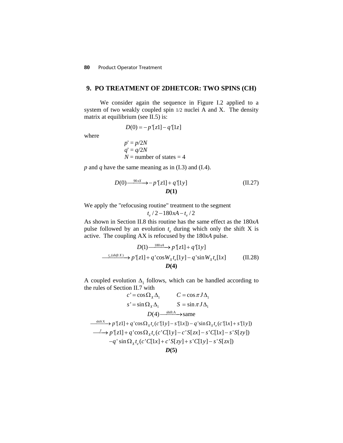**80** Product Operator Treatment

## **9. PO TREATMENT OF 2DHETCOR: TWO SPINS (CH)**

We consider again the sequence in Figure I.2 applied to a system of two weakly coupled spin 1/2 nuclei A and X. The density matrix at equilibrium (see II.5) is:

$$
D(0) = -p^{\prime}[z1] - q^{\prime}[1z]
$$

where

$$
p' = p/2N
$$
  
q' = q/2N  
N = number of states = 4

*p* and *q* have the same meaning as in (I.3) and (I.4).

$$
D(0) \xrightarrow{\phantom{0}90xX} -p^*[z1] + q^*[1y] \tag{II.27}
$$
  

$$
D(1)
$$

We apply the "refocusing routine" treatment to the segment

$$
t_e\,/\,2-180xA-t_e\,/\,2
$$

As shown in Section II.8 this routine has the same effect as the 180*xA* pulse followed by an evolution  $t_e$  during which only the shift X is active. The coupling AX is refocused by the 180*xA* pulse.

$$
D(1) \xrightarrow{180xA} p^r[z1] + q^r[1y]
$$
  
\n
$$
\xrightarrow{t_e(shif(X))} p^r[z1] + q^r \cos W_X t_e[1y] - q^r \sin W_X t_e[1x]
$$
 (II.28)  
\n
$$
D(4)
$$

A coupled evolution  $\Delta_1$  follows, which can be handled according to the rules of Section II.7 with

$$
c' = \cos \Omega_x \Delta_1 \qquad C = \cos \pi J \Delta_1
$$
  
\n
$$
s' = \sin \Omega_x \Delta_1 \qquad S = \sin \pi J \Delta_1
$$
  
\n
$$
D(4) \xrightarrow{\text{shift A}} \text{same}
$$
  
\n
$$
\xrightarrow{\text{shift X}} p'[z1] + q' \cos \Omega_x t_e (c'[1y] - s'[1x]) - q' \sin \Omega_x t_e (c'[1x] + s'[1y])
$$
  
\n
$$
\xrightarrow{J} p'[z1] + q' \cos \Omega_x t_e (c'[1y] - c'[Szx] - s'[C[x] - s'[S[y])
$$
  
\n
$$
-q' \sin \Omega_x t_e (c'[C[x] + c'[S[zy] + s'[C[y] - s'[S[zx])
$$
  
\n
$$
D(5)
$$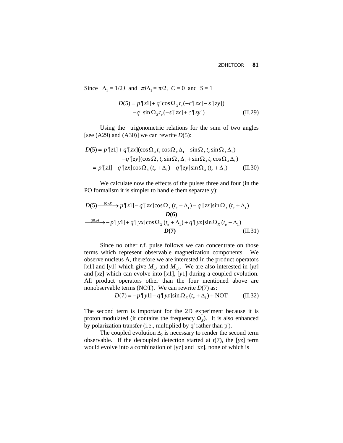Since  $\Delta_1 = 1/2J$  and  $\pi J \Delta_1 = \pi/2$ ,  $C = 0$  and  $S = 1$ 

$$
D(5) = p+[z1] + q+cos \Omegax te (-c+[zx] - s+[zy])-q+ sin \Omegax te (-s+[zx] + c+[zy])
$$
(II.29)

Using the trigonometric relations for the sum of two angles [see (A29) and (A30)] we can rewrite *D*(5):

$$
D(5) = p'[z1] + q'[zx](\cos \Omega_x t_e \cos \Omega_x \Delta_1 - \sin \Omega_x t_e \sin \Omega_x \Delta_1)
$$
  
\n
$$
-q'[zy](\cos \Omega_x t_e \sin \Omega_x \Delta_1 + \sin \Omega_x t_e \cos \Omega_x \Delta_1)
$$
  
\n
$$
= p'[z1] - q'[zx] \cos \Omega_x (t_e + \Delta_1) - q'[zy] \sin \Omega_x (t_e + \Delta_1)
$$
 (II.30)

We calculate now the effects of the pulses three and four (in the PO formalism it is simpler to handle them separately):

$$
D(5) \xrightarrow{\phantom{0}90x} p'[z1] - q'[zx]cos\Omega_x(t_e + \Delta_1) - q'[zz]sin\Omega_x(t_e + \Delta_1)
$$
  
\n
$$
D(6)
$$
  
\n
$$
\xrightarrow{\phantom{0}90xA} - p'[y1] + q'[yx]cos\Omega_x(t_e + \Delta_1) + q'[yz]sin\Omega_x(t_e + \Delta_1)
$$
  
\n
$$
D(7)
$$
  
\n
$$
(II.31)
$$

Since no other r.f. pulse follows we can concentrate on those terms which represent observable magnetization components. We observe nucleus A, therefore we are interested in the product operators [*x*1] and [*y*1] which give  $M_{xA}$  and  $M_{yA}$ . We are also interested in [*yz*] and [*xz*] which can evolve into [*x*1], [*y*1] during a coupled evolution. All product operators other than the four mentioned above are nonobservable terms (NOT). We can rewrite *D*(7) as:

$$
D(7) = -p'[y1] + q'[yz] \sin \Omega_x (t_e + \Delta_1) + NOT
$$
 (II.32)

The second term is important for the 2D experiment because it is proton modulated (it contains the frequency  $\Omega$ <sub>*x*</sub>). It is also enhanced by polarization transfer (i.e., multiplied by q' rather than p').

The coupled evolution  $\Delta_2$  is necessary to render the second term observable. If the decoupled detection started at *t*(7), the [*yz*] term would evolve into a combination of [yz] and [xz], none of which is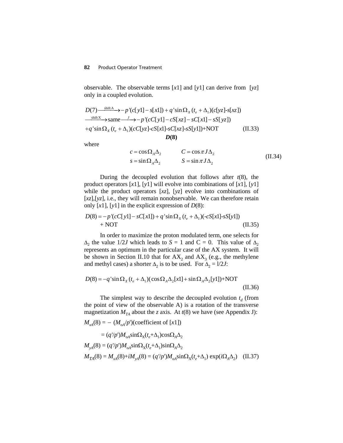## **82** Product Operator Treatment

observable. The observable terms [*x*1] and [*y*1] can derive from [*yz*] only in a coupled evolution.

$$
D(7) \xrightarrow{\text{shift A}} -p' (c[y1] - s[x1]) + q' \sin \Omega_x (t_e + \Delta_1) (c[yz] - s[xz])
$$
  
\n
$$
\xrightarrow{\text{shift X}} \text{same} \xrightarrow{J} -p' (cC[y1] - cS[xz] - sC[x1] - sS[yz])
$$
  
\n
$$
+q' \sin \Omega_x (t_e + \Delta_1) (cC[yz] - cS[x1] - sC[xz] - sS[y1]) + NOT
$$
 (II.33)  
\n
$$
D(8)
$$

where

$$
c = \cos \Omega_A \Delta_2 \qquad \qquad C = \cos \pi J \Delta_2
$$
  
\n
$$
s = \sin \Omega_A \Delta_2 \qquad \qquad S = \sin \pi J \Delta_2 \qquad \qquad (II.34)
$$

During the decoupled evolution that follows after  $t(8)$ , the product operators [*x*1], [*y*1] will evolve into combinations of [*x*1], [*y*1] while the product operators [*xz*], [*yz*] evolve into combinations of [*xz*],[*yz*], i.e., they will remain nonobservable. We can therefore retain only  $[x1]$ ,  $[y1]$  in the explicit expression of  $D(8)$ :

$$
D(8) = -p'(cC[y1] - sC[x1]) + q' \sin \Omega_X (t_e + \Delta_1)(-cS[x1] - sS[y1])
$$
  
+ NOT (II.35)

In order to maximize the proton modulated term, one selects for  $\Delta_2$  the value 1/2*J* which leads to  $S = 1$  and  $C = 0$ . This value of  $\Delta_2$ represents an optimum in the particular case of the AX system. It will be shown in Section II.10 that for  $AX_2$  and  $AX_3$  (e.g., the methylene and methyl cases) a shorter  $\Delta_2$  is to be used. For  $\Delta_2 = 1/2J$ :

$$
D(8) = -q' \sin \Omega_X (t_e + \Delta_1) (\cos \Omega_A \Delta_2[x1] + \sin \Omega_A \Delta_2[y1]) + \text{NOT}
$$
 (II.36)

The simplest way to describe the decoupled evolution  $t_d$  (from the point of view of the observable A) is a rotation of the transverse magnetization  $M_{TA}$  about the *z* axis. At  $t(8)$  we have (see Appendix J):

$$
M_{xA}(8) = - (M_{oA}/p')(\text{coefficient of } [x1])
$$
  
=  $(q'/p')M_{oA}\sin\Omega_x(t_e+\Delta_1)\cos\Omega_A\Delta_2$   

$$
M_{yA}(8) = (q'/p')M_{oA}\sin\Omega_x(t_e+\Delta_1)\sin\Omega_A\Delta_2
$$
  

$$
M_{TA}(8) = M_{xA}(8) + iM_{yA}(8) = (q'/p')M_{oA}\sin\Omega_x(t_e+\Delta_1)\exp(i\Omega_A\Delta_2)
$$
 (II.37)